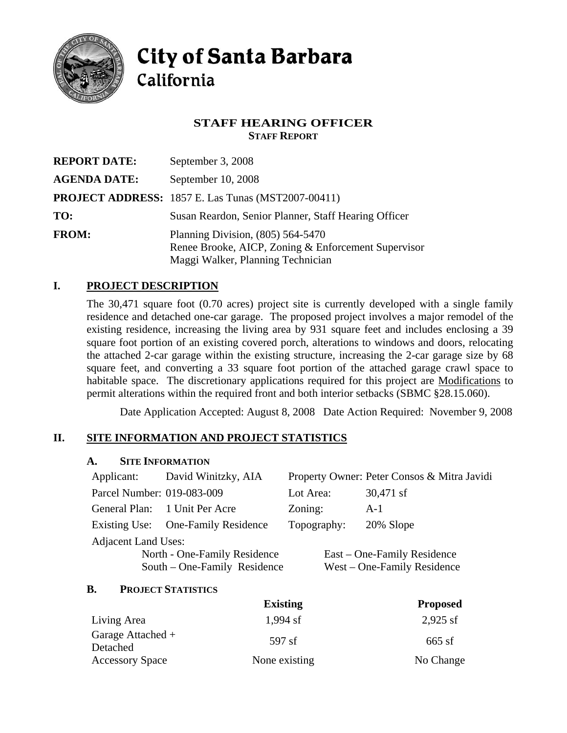

# **City of Santa Barbara** California

## **STAFF HEARING OFFICER STAFF REPORT**

| <b>REPORT DATE:</b> | September 3, 2008                                                                                                               |  |
|---------------------|---------------------------------------------------------------------------------------------------------------------------------|--|
| <b>AGENDA DATE:</b> | September 10, 2008                                                                                                              |  |
|                     | <b>PROJECT ADDRESS:</b> 1857 E. Las Tunas (MST2007-00411)                                                                       |  |
| TO:                 | Susan Reardon, Senior Planner, Staff Hearing Officer                                                                            |  |
| <b>FROM:</b>        | Planning Division, $(805)$ 564-5470<br>Renee Brooke, AICP, Zoning & Enforcement Supervisor<br>Maggi Walker, Planning Technician |  |

## **I. PROJECT DESCRIPTION**

The 30,471 square foot (0.70 acres) project site is currently developed with a single family residence and detached one-car garage. The proposed project involves a major remodel of the existing residence, increasing the living area by 931 square feet and includes enclosing a 39 square foot portion of an existing covered porch, alterations to windows and doors, relocating the attached 2-car garage within the existing structure, increasing the 2-car garage size by 68 square feet, and converting a 33 square foot portion of the attached garage crawl space to habitable space. The discretionary applications required for this project are Modifications to permit alterations within the required front and both interior setbacks (SBMC §28.15.060).

Date Application Accepted: August 8, 2008 Date Action Required: November 9, 2008

# **II. SITE INFORMATION AND PROJECT STATISTICS**

### **A. SITE INFORMATION**

| Applicant:                   | David Winitzky, AIA           |             | Property Owner: Peter Consos & Mitra Javidi |  |  |
|------------------------------|-------------------------------|-------------|---------------------------------------------|--|--|
| Parcel Number: 019-083-009   |                               | Lot Area:   | 30,471 sf                                   |  |  |
|                              | General Plan: 1 Unit Per Acre | Zoning:     | $A-1$                                       |  |  |
| Existing Use:                | <b>One-Family Residence</b>   | Topography: | 20% Slope                                   |  |  |
| <b>Adjacent Land Uses:</b>   |                               |             |                                             |  |  |
| North - One-Family Residence |                               |             | East – One-Family Residence                 |  |  |
|                              | South – One-Family Residence  |             | West – One-Family Residence                 |  |  |
|                              |                               |             |                                             |  |  |

#### **B. PROJECT STATISTICS**

|                               | <b>Existing</b> | <b>Proposed</b> |
|-------------------------------|-----------------|-----------------|
| Living Area                   | 1,994 sf        | $2,925$ sf      |
| Garage Attached +<br>Detached | 597 sf          | $665$ sf        |
| <b>Accessory Space</b>        | None existing   | No Change       |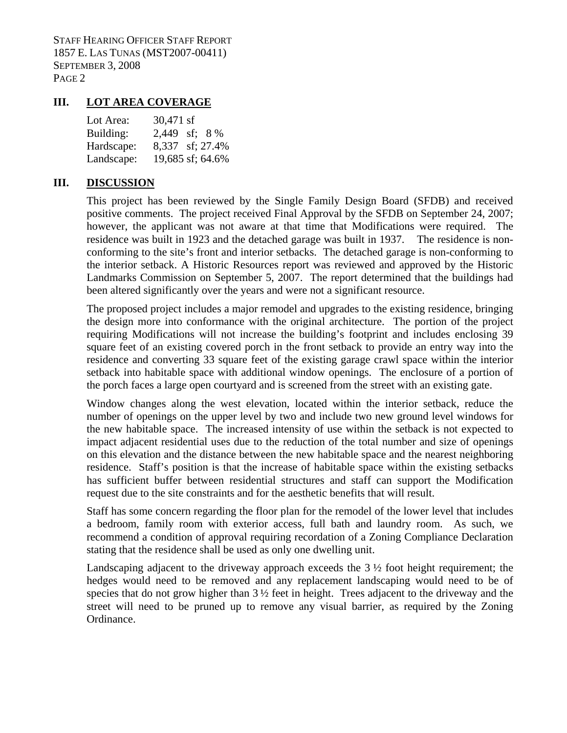STAFF HEARING OFFICER STAFF REPORT 1857 E. LAS TUNAS (MST2007-00411) SEPTEMBER 3, 2008 PAGE 2

### **III. LOT AREA COVERAGE**

| Lot Area:  | 30,471 sf        |
|------------|------------------|
| Building:  | 2,449 sf; 8 %    |
| Hardscape: | 8,337 sf; 27.4%  |
| Landscape: | 19,685 sf; 64.6% |

#### **III. DISCUSSION**

This project has been reviewed by the Single Family Design Board (SFDB) and received positive comments. The project received Final Approval by the SFDB on September 24, 2007; however, the applicant was not aware at that time that Modifications were required. The residence was built in 1923 and the detached garage was built in 1937. The residence is nonconforming to the site's front and interior setbacks. The detached garage is non-conforming to the interior setback. A Historic Resources report was reviewed and approved by the Historic Landmarks Commission on September 5, 2007. The report determined that the buildings had been altered significantly over the years and were not a significant resource.

The proposed project includes a major remodel and upgrades to the existing residence, bringing the design more into conformance with the original architecture. The portion of the project requiring Modifications will not increase the building's footprint and includes enclosing 39 square feet of an existing covered porch in the front setback to provide an entry way into the residence and converting 33 square feet of the existing garage crawl space within the interior setback into habitable space with additional window openings. The enclosure of a portion of the porch faces a large open courtyard and is screened from the street with an existing gate.

Window changes along the west elevation, located within the interior setback, reduce the number of openings on the upper level by two and include two new ground level windows for the new habitable space. The increased intensity of use within the setback is not expected to impact adjacent residential uses due to the reduction of the total number and size of openings on this elevation and the distance between the new habitable space and the nearest neighboring residence. Staff's position is that the increase of habitable space within the existing setbacks has sufficient buffer between residential structures and staff can support the Modification request due to the site constraints and for the aesthetic benefits that will result.

Staff has some concern regarding the floor plan for the remodel of the lower level that includes a bedroom, family room with exterior access, full bath and laundry room. As such, we recommend a condition of approval requiring recordation of a Zoning Compliance Declaration stating that the residence shall be used as only one dwelling unit.

Landscaping adjacent to the driveway approach exceeds the 3 ½ foot height requirement; the hedges would need to be removed and any replacement landscaping would need to be of species that do not grow higher than  $3\frac{1}{2}$  feet in height. Trees adjacent to the driveway and the street will need to be pruned up to remove any visual barrier, as required by the Zoning Ordinance.